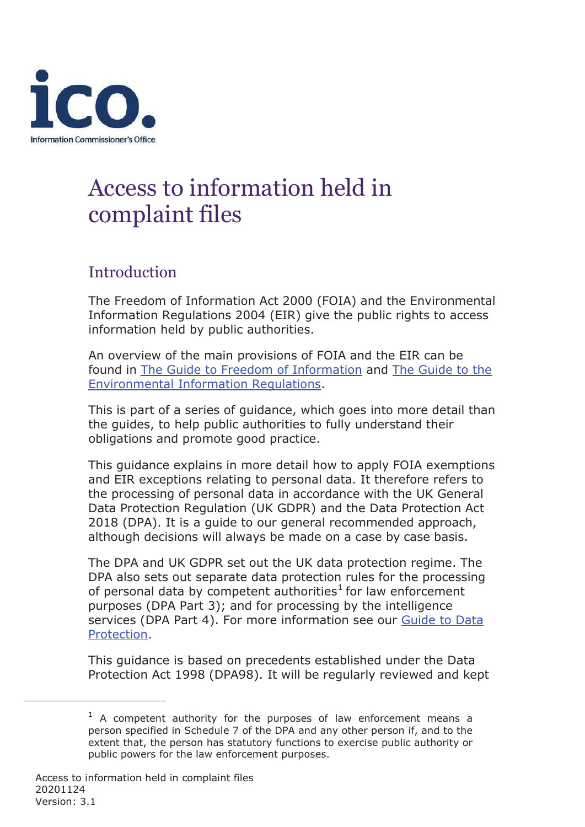

# Access to information held in complaint files

# **Introduction**

The Freedom of Information Act 2000 (FOIA) and the Environmental Information Regulations 2004 (EIR) give the public rights to access information held by public authorities.

An overview of the main provisions of FOIA and the EIR can be [found in The Guide to Freedom of Information](https://ico.org.uk/for-organisations/guide-to-the-environmental-information-regulations/) [and The Guide to the](https://ico.org.uk/for-organisations/guide-to-the-environmental-information-regulations/) [Environmental Information Regulations.](https://ico.org.uk/for-organisations/guide-to-the-environmental-information-regulations/)

This is part of a series of guidance, which goes into more detail than the guides, to help public authorities to fully understand their obligations and promote good practice.

This guidance explains in more detail how to apply FOIA exemptions and EIR exceptions relating to personal data. It therefore refers to the processing of personal data in accordance with the UK General Data Protection Regulation (UK GDPR) and the Data Protection Act 2018 (DPA). It is a guide to our general recommended approach, although decisions will always be made on a case by case basis.

The DPA and UK GDPR set out the UK data protection regime. The DPA also sets out separate data protection rules for the processing of personal data by competent authorities<sup>[1](#page-0-0)</sup> for law enforcement purposes (DPA Part 3); and for processing by the intelligence [services \(DPA Part 4\). For more information see our Guide to Data](https://ico.org.uk/for-organisations/guide-to-data-protection/) [Protection.](https://ico.org.uk/for-organisations/guide-to-data-protection/)

This guidance is based on precedents established under the Data Protection Act 1998 (DPA98). It will be regularly reviewed and kept

<span id="page-0-0"></span> $1$  A competent authority for the purposes of law enforcement means a person specified in Schedule 7 of the DPA and any other person if, and to the extent that, the person has statutory functions to exercise public authority or public powers for the law enforcement purposes.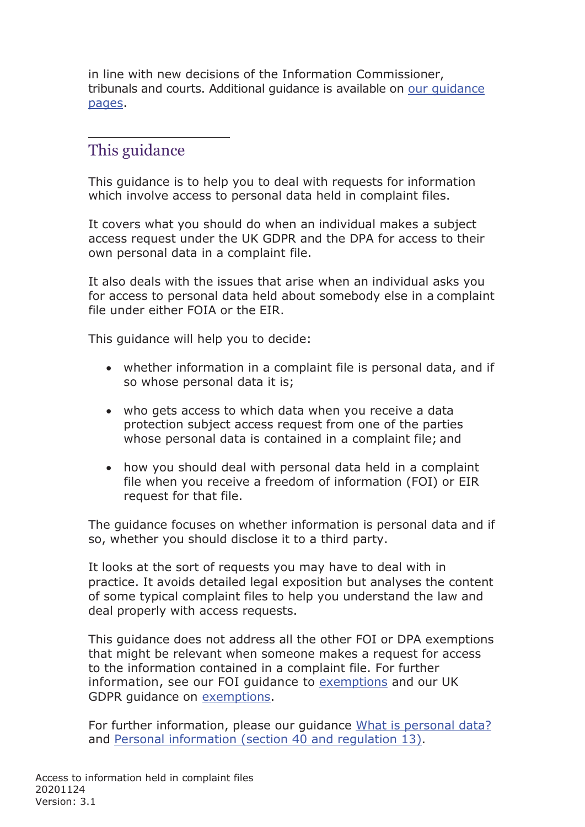in line with new decisions of the Information Commissioner, [tribunals and courts. Additional guidance is available on our guidance](https://ico.org.uk/for-organisations/guidance-index/freedom-of-information-and-environmental-information-regulations/) [pages.](https://ico.org.uk/for-organisations/guidance-index/freedom-of-information-and-environmental-information-regulations/)

# This guidance

This guidance is to help you to deal with requests for information which involve access to personal data held in complaint files.

It covers what you should do when an individual makes a subject access request under the UK GDPR and the DPA for access to their own personal data in a complaint file.

It also deals with the issues that arise when an individual asks you for access to personal data held about somebody else in a complaint file under either FOIA or the EIR.

This guidance will help you to decide:

- whether information in a complaint file is personal data, and if so whose personal data it is;
- who gets access to which data when you receive a data protection subject access request from one of the parties whose personal data is contained in a complaint file; and
- how you should deal with personal data held in a complaint file when you receive a freedom of information (FOI) or EIR request for that file.

The guidance focuses on whether information is personal data and if so, whether you should disclose it to a third party.

It looks at the sort of requests you may have to deal with in practice. It avoids detailed legal exposition but analyses the content of some typical complaint files to help you understand the law and deal properly with access requests.

This guidance does not address all the other FOI or DPA exemptions that might be relevant when someone makes a request for access to the information contained in a complaint file. For further information, see our FOI guidance to [exemptions](https://ico.org.uk/for-organisations/guidance-index/freedom-of-information-and-environmental-information-regulations/) and our UK GDPR guidance on [exemptions.](https://ico.org.uk/for-organisations/guide-to-data-protection/guide-to-the-general-data-protection-regulation-gdpr/exemptions/)

For further information, please our guidance [What is personal data?](https://ico.org.uk/for-organisations/guide-to-data-protection/guide-to-the-general-data-protection-regulation-gdpr/what-is-personal-data/) and [Personal information \(section 40 and regulation 13\).](https://ico.org.uk/media/for-organisations/documents/1213/personal-information-section-40-regulation-13.pdf)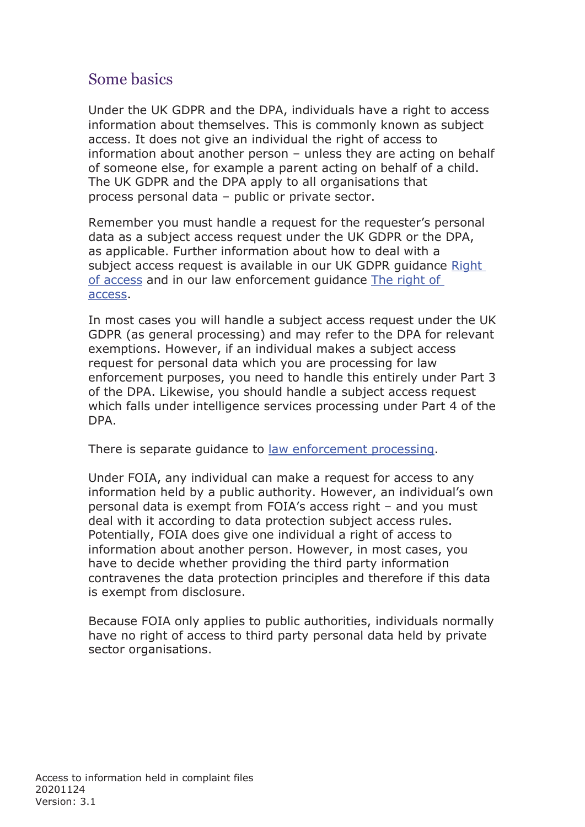# Some basics

Under the UK GDPR and the DPA, individuals have a right to access information about themselves. This is commonly known as subject access. It does not give an individual the right of access to information about another person – unless they are acting on behalf of someone else, for example a parent acting on behalf of a child. The UK GDPR and the DPA apply to all organisations that process personal data – public or private sector.

Remember you must handle a request for the requester's personal data as a subject access request under the UK GDPR or the DPA, as applicable. Further information about how to deal with a subject access request is available in our UK GDPR guidance [Right](https://ico.org.uk/for-organisations/guide-to-the-general-data-protection-regulation-gdpr/individual-rights/right-of-access/)  [of access](https://ico.org.uk/for-organisations/guide-to-the-general-data-protection-regulation-gdpr/individual-rights/right-of-access/) and in our law enforcement guidance [The right of](https://ico.org.uk/for-organisations/guide-to-law-enforcement-processing-part-3-of-the-dp-act-2018/individual-rights/the-right-of-access/)  [access.](https://ico.org.uk/for-organisations/guide-to-law-enforcement-processing-part-3-of-the-dp-act-2018/individual-rights/the-right-of-access/)

In most cases you will handle a subject access request under the UK GDPR (as general processing) and may refer to the DPA for relevant exemptions. However, if an individual makes a subject access request for personal data which you are processing for law enforcement purposes, you need to handle this entirely under Part 3 of the DPA. Likewise, you should handle a subject access request which falls under intelligence services processing under Part 4 of the DPA.

There is separate guidance to [law enforcement processing.](https://ico.org.uk/for-organisations/guide-to-data-protection/guide-to-law-enforcement-processing/)

Under FOIA, any individual can make a request for access to any information held by a public authority. However, an individual's own personal data is exempt from FOIA's access right – and you must deal with it according to data protection subject access rules. Potentially, FOIA does give one individual a right of access to information about another person. However, in most cases, you have to decide whether providing the third party information contravenes the data protection principles and therefore if this data is exempt from disclosure.

Because FOIA only applies to public authorities, individuals normally have no right of access to third party personal data held by private sector organisations.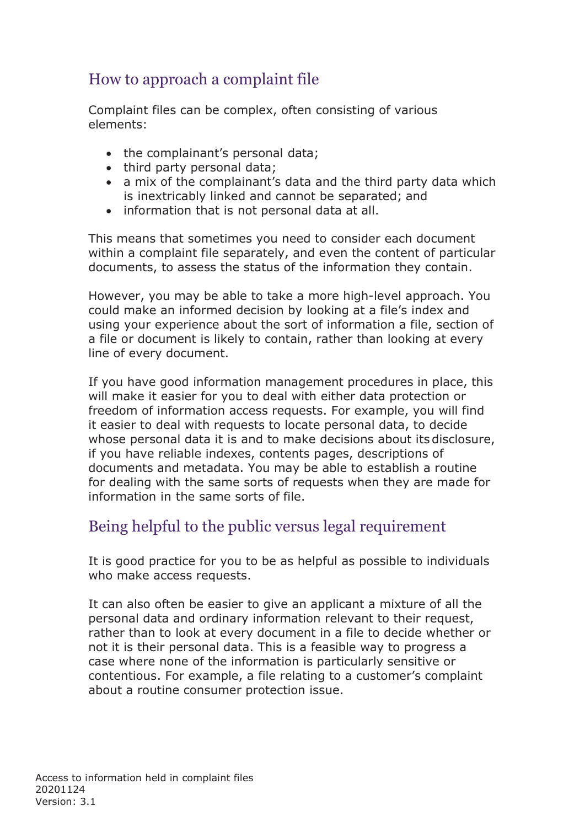# How to approach a complaint file

Complaint files can be complex, often consisting of various elements:

- the complainant's personal data;
- third party personal data;
- a mix of the complainant's data and the third party data which is inextricably linked and cannot be separated; and
- information that is not personal data at all.

This means that sometimes you need to consider each document within a complaint file separately, and even the content of particular documents, to assess the status of the information they contain.

However, you may be able to take a more high-level approach. You could make an informed decision by looking at a file's index and using your experience about the sort of information a file, section of a file or document is likely to contain, rather than looking at every line of every document.

If you have good information management procedures in place, this will make it easier for you to deal with either data protection or freedom of information access requests. For example, you will find it easier to deal with requests to locate personal data, to decide whose personal data it is and to make decisions about its disclosure, if you have reliable indexes, contents pages, descriptions of documents and metadata. You may be able to establish a routine for dealing with the same sorts of requests when they are made for information in the same sorts of file.

# Being helpful to the public versus legal requirement

It is good practice for you to be as helpful as possible to individuals who make access requests.

It can also often be easier to give an applicant a mixture of all the personal data and ordinary information relevant to their request, rather than to look at every document in a file to decide whether or not it is their personal data. This is a feasible way to progress a case where none of the information is particularly sensitive or contentious. For example, a file relating to a customer's complaint about a routine consumer protection issue.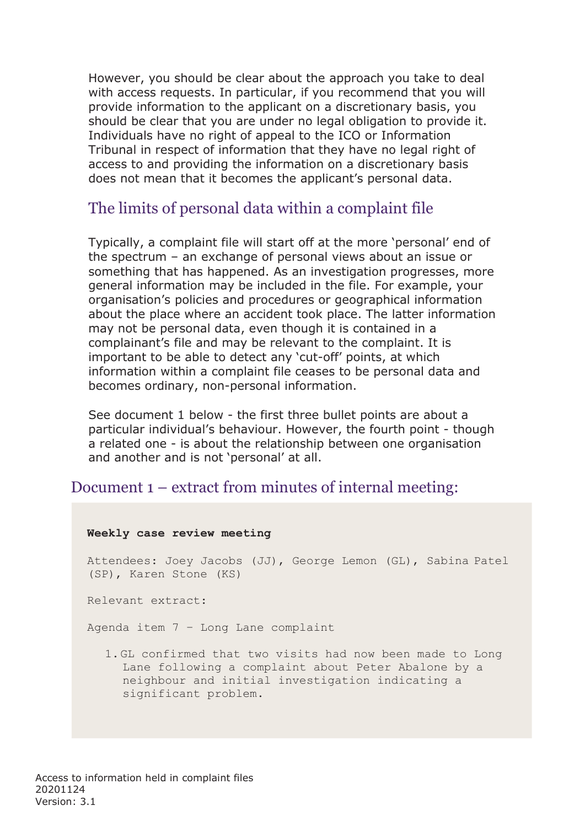However, you should be clear about the approach you take to deal with access requests. In particular, if you recommend that you will provide information to the applicant on a discretionary basis, you should be clear that you are under no legal obligation to provide it. Individuals have no right of appeal to the ICO or Information Tribunal in respect of information that they have no legal right of access to and providing the information on a discretionary basis does not mean that it becomes the applicant's personal data.

## The limits of personal data within a complaint file

Typically, a complaint file will start off at the more 'personal' end of the spectrum – an exchange of personal views about an issue or something that has happened. As an investigation progresses, more general information may be included in the file. For example, your organisation's policies and procedures or geographical information about the place where an accident took place. The latter information may not be personal data, even though it is contained in a complainant's file and may be relevant to the complaint. It is important to be able to detect any 'cut-off' points, at which information within a complaint file ceases to be personal data and becomes ordinary, non-personal information.

See document 1 below - the first three bullet points are about a particular individual's behaviour. However, the fourth point - though a related one - is about the relationship between one organisation and another and is not 'personal' at all.

### Document 1 – extract from minutes of internal meeting:

# **Weekly case review meeting** Attendees: Joey Jacobs (JJ), George Lemon (GL), Sabina Patel (SP), Karen Stone (KS) Relevant extract: Agenda item 7 – Long Lane complaint 1. GL confirmed that two visits had now been made to Long Lane following a complaint about Peter Abalone by a neighbour and initial investigation indicating a significant problem.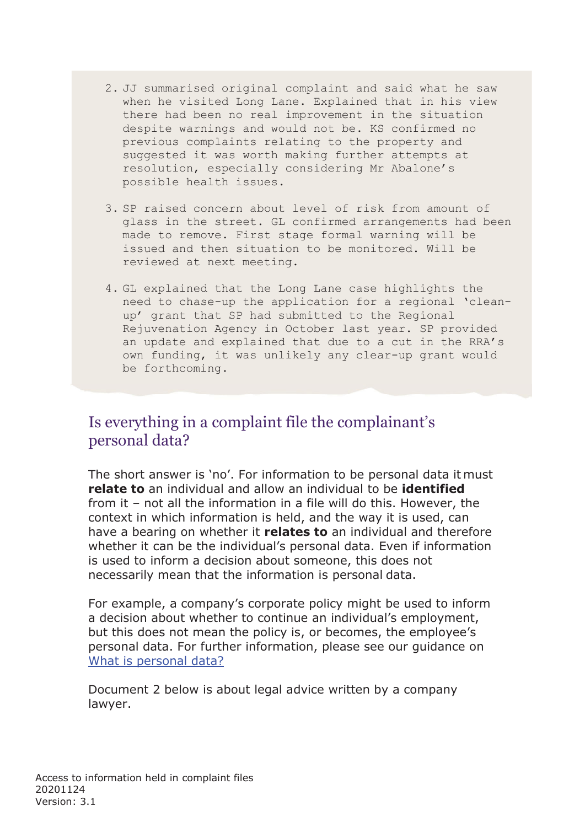- 2. JJ summarised original complaint and said what he saw when he visited Long Lane. Explained that in his view there had been no real improvement in the situation despite warnings and would not be. KS confirmed no previous complaints relating to the property and suggested it was worth making further attempts at resolution, especially considering Mr Abalone's possible health issues.
- 3. SP raised concern about level of risk from amount of glass in the street. GL confirmed arrangements had been made to remove. First stage formal warning will be issued and then situation to be monitored. Will be reviewed at next meeting.
- 4. GL explained that the Long Lane case highlights the need to chase-up the application for a regional 'cleanup' grant that SP had submitted to the Regional Rejuvenation Agency in October last year. SP provided an update and explained that due to a cut in the RRA's own funding, it was unlikely any clear-up grant would be forthcoming.

## Is everything in a complaint file the complainant's personal data?

The short answer is 'no'. For information to be personal data it must **relate to** an individual and allow an individual to be **identified**  from it – not all the information in a file will do this. However, the context in which information is held, and the way it is used, can have a bearing on whether it **relates to** an individual and therefore whether it can be the individual's personal data. Even if information is used to inform a decision about someone, this does not necessarily mean that the information is personal data.

For example, a company's corporate policy might be used to inform a decision about whether to continue an individual's employment, but this does not mean the policy is, or becomes, the employee's personal data. For further information, please see our guidance on [What is personal data?](https://ico.org.uk/for-organisations/guide-to-data-protection/guide-to-the-general-data-protection-regulation-gdpr/key-definitions/what-is-personal-data/)

Document 2 below is about legal advice written by a company lawyer.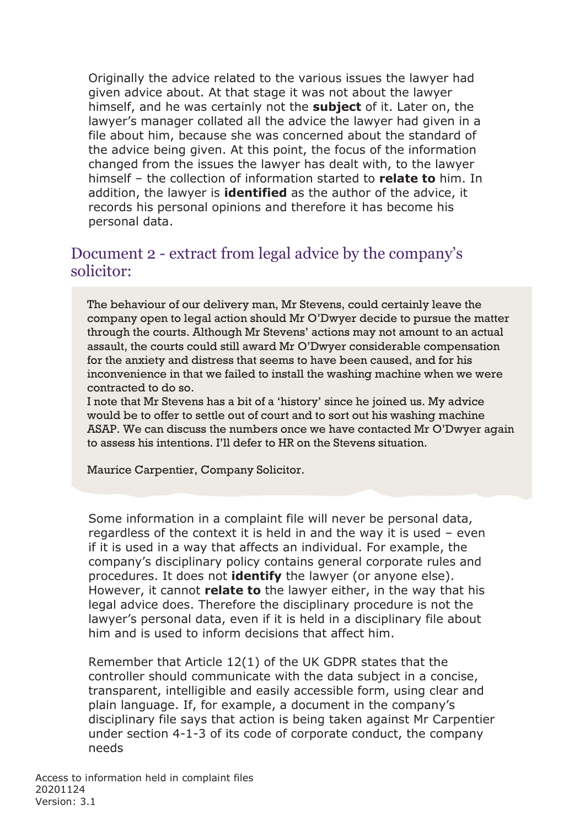Originally the advice related to the various issues the lawyer had given advice about. At that stage it was not about the lawyer himself, and he was certainly not the **subject** of it. Later on, the lawyer's manager collated all the advice the lawyer had given in a file about him, because she was concerned about the standard of the advice being given. At this point, the focus of the information changed from the issues the lawyer has dealt with, to the lawyer himself – the collection of information started to **relate to** him. In addition, the lawyer is **identified** as the author of the advice, it records his personal opinions and therefore it has become his personal data.

## Document 2 - extract from legal advice by the company's solicitor:

The behaviour of our delivery man, Mr Stevens, could certainly leave the company open to legal action should Mr O'Dwyer decide to pursue the matter through the courts. Although Mr Stevens' actions may not amount to an actual assault, the courts could still award Mr O'Dwyer considerable compensation for the anxiety and distress that seems to have been caused, and for his inconvenience in that we failed to install the washing machine when we were contracted to do so.

I note that Mr Stevens has a bit of a 'history' since he joined us. My advice would be to offer to settle out of court and to sort out his washing machine ASAP. We can discuss the numbers once we have contacted Mr O'Dwyer again to assess his intentions. I'll defer to HR on the Stevens situation.

Maurice Carpentier, Company Solicitor.

Some information in a complaint file will never be personal data, regardless of the context it is held in and the way it is used – even if it is used in a way that affects an individual. For example, the company's disciplinary policy contains general corporate rules and procedures. It does not **identify** the lawyer (or anyone else). However, it cannot **relate to** the lawyer either, in the way that his legal advice does. Therefore the disciplinary procedure is not the lawyer's personal data, even if it is held in a disciplinary file about him and is used to inform decisions that affect him.

Remember that Article 12(1) of the UK GDPR states that the controller should communicate with the data subject in a concise, transparent, intelligible and easily accessible form, using clear and plain language. If, for example, a document in the company's disciplinary file says that action is being taken against Mr Carpentier under section 4-1-3 of its code of corporate conduct, the company needs

Access to information held in complaint files 20201124 Version: 3.1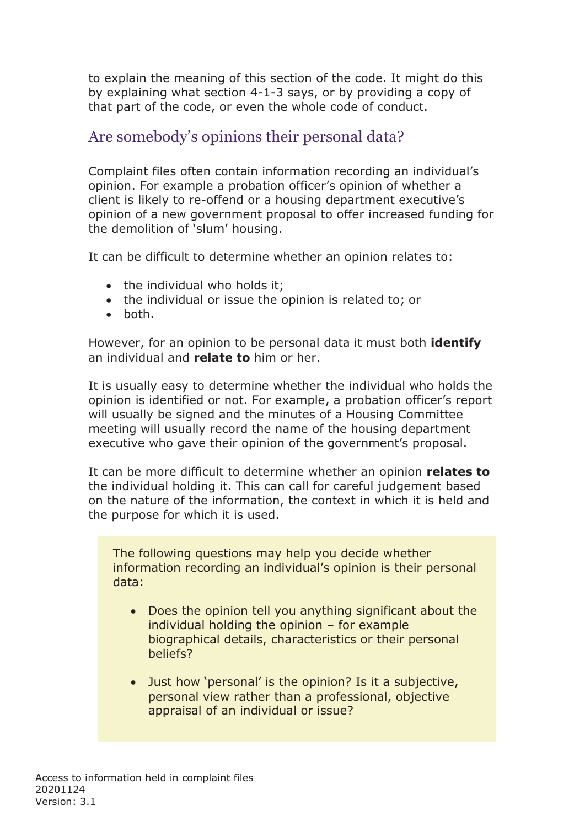to explain the meaning of this section of the code. It might do this by explaining what section 4-1-3 says, or by providing a copy of that part of the code, or even the whole code of conduct.

# Are somebody's opinions their personal data?

Complaint files often contain information recording an individual's opinion. For example a probation officer's opinion of whether a client is likely to re-offend or a housing department executive's opinion of a new government proposal to offer increased funding for the demolition of 'slum' housing.

It can be difficult to determine whether an opinion relates to:

- the individual who holds it;
- the individual or issue the opinion is related to; or
- both.

However, for an opinion to be personal data it must both **identify** an individual and **relate to** him or her.

It is usually easy to determine whether the individual who holds the opinion is identified or not. For example, a probation officer's report will usually be signed and the minutes of a Housing Committee meeting will usually record the name of the housing department executive who gave their opinion of the government's proposal.

It can be more difficult to determine whether an opinion **relates to**  the individual holding it. This can call for careful judgement based on the nature of the information, the context in which it is held and the purpose for which it is used.

The following questions may help you decide whether information recording an individual's opinion is their personal data:

- Does the opinion tell you anything significant about the individual holding the opinion – for example biographical details, characteristics or their personal beliefs?
- Just how 'personal' is the opinion? Is it a subjective, personal view rather than a professional, objective appraisal of an individual or issue?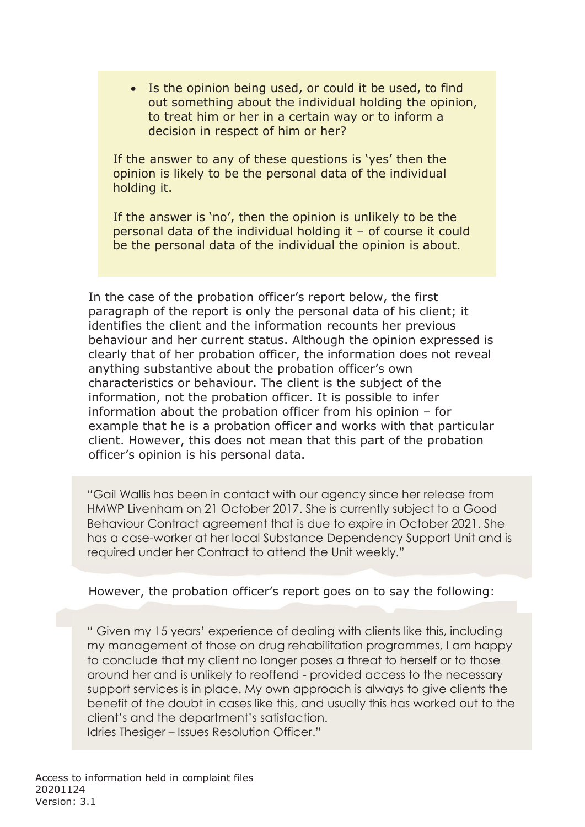• Is the opinion being used, or could it be used, to find out something about the individual holding the opinion, to treat him or her in a certain way or to inform a decision in respect of him or her?

If the answer to any of these questions is 'yes' then the opinion is likely to be the personal data of the individual holding it.

If the answer is 'no', then the opinion is unlikely to be the personal data of the individual holding it – of course it could be the personal data of the individual the opinion is about.

In the case of the probation officer's report below, the first paragraph of the report is only the personal data of his client; it identifies the client and the information recounts her previous behaviour and her current status. Although the opinion expressed is clearly that of her probation officer, the information does not reveal anything substantive about the probation officer's own characteristics or behaviour. The client is the subject of the information, not the probation officer. It is possible to infer information about the probation officer from his opinion – for example that he is a probation officer and works with that particular client. However, this does not mean that this part of the probation officer's opinion is his personal data.

"Gail Wallis has been in contact with our agency since her release from HMWP Livenham on 21 October 2017. She is currently subject to a Good Behaviour Contract agreement that is due to expire in October 2021. She has a case-worker at her local Substance Dependency Support Unit and is required under her Contract to attend the Unit weekly."

#### However, the probation officer's report goes on to say the following:

" Given my 15 years' experience of dealing with clients like this, including my management of those on drug rehabilitation programmes, I am happy to conclude that my client no longer poses a threat to herself or to those around her and is unlikely to reoffend - provided access to the necessary support services is in place. My own approach is always to give clients the benefit of the doubt in cases like this, and usually this has worked out to the client's and the department's satisfaction.

Idries Thesiger – Issues Resolution Officer."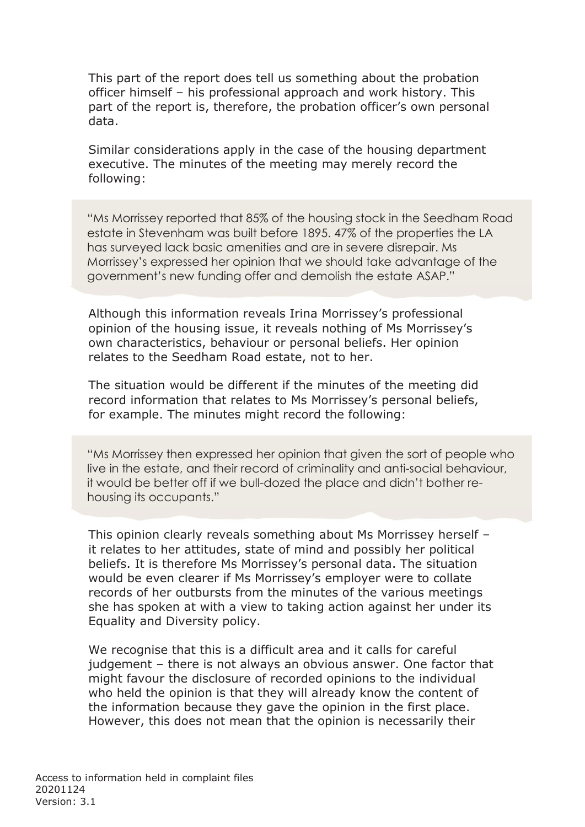This part of the report does tell us something about the probation officer himself – his professional approach and work history. This part of the report is, therefore, the probation officer's own personal data.

Similar considerations apply in the case of the housing department executive. The minutes of the meeting may merely record the following:

"Ms Morrissey reported that 85% of the housing stock in the Seedham Road estate in Stevenham was built before 1895. 47% of the properties the LA has surveyed lack basic amenities and are in severe disrepair. Ms Morrissey's expressed her opinion that we should take advantage of the government's new funding offer and demolish the estate ASAP."

Although this information reveals Irina Morrissey's professional opinion of the housing issue, it reveals nothing of Ms Morrissey's own characteristics, behaviour or personal beliefs. Her opinion relates to the Seedham Road estate, not to her.

The situation would be different if the minutes of the meeting did record information that relates to Ms Morrissey's personal beliefs, for example. The minutes might record the following:

"Ms Morrissey then expressed her opinion that given the sort of people who live in the estate, and their record of criminality and anti-social behaviour, it would be better off if we bull-dozed the place and didn't bother rehousing its occupants."

This opinion clearly reveals something about Ms Morrissey herself – it relates to her attitudes, state of mind and possibly her political beliefs. It is therefore Ms Morrissey's personal data. The situation would be even clearer if Ms Morrissey's employer were to collate records of her outbursts from the minutes of the various meetings she has spoken at with a view to taking action against her under its Equality and Diversity policy.

We recognise that this is a difficult area and it calls for careful judgement – there is not always an obvious answer. One factor that might favour the disclosure of recorded opinions to the individual who held the opinion is that they will already know the content of the information because they gave the opinion in the first place. However, this does not mean that the opinion is necessarily their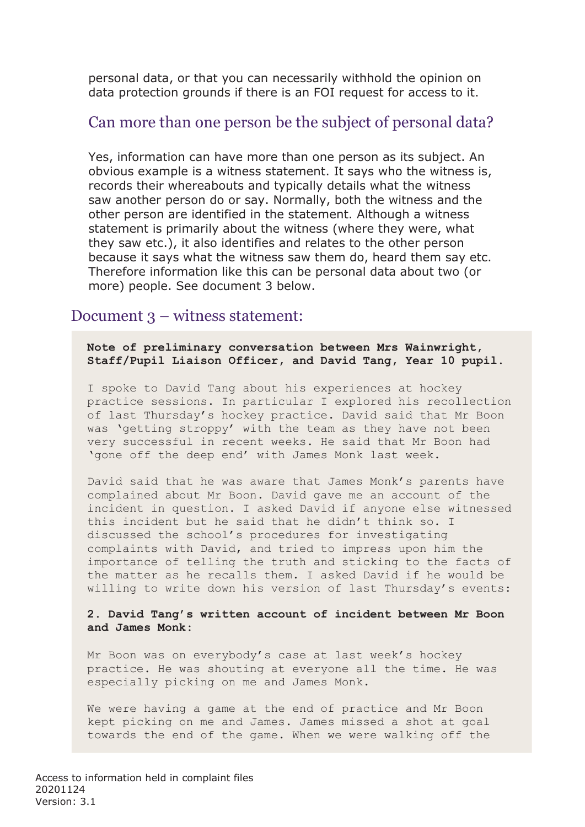personal data, or that you can necessarily withhold the opinion on data protection grounds if there is an FOI request for access to it.

### Can more than one person be the subject of personal data?

Yes, information can have more than one person as its subject. An obvious example is a witness statement. It says who the witness is, records their whereabouts and typically details what the witness saw another person do or say. Normally, both the witness and the other person are identified in the statement. Although a witness statement is primarily about the witness (where they were, what they saw etc.), it also identifies and relates to the other person because it says what the witness saw them do, heard them say etc. Therefore information like this can be personal data about two (or more) people. See document 3 below.

#### Document 3 – witness statement:

**Note of preliminary conversation between Mrs Wainwright, Staff/Pupil Liaison Officer, and David Tang, Year 10 pupil**.

I spoke to David Tang about his experiences at hockey practice sessions. In particular I explored his recollection of last Thursday's hockey practice. David said that Mr Boon was 'getting stroppy' with the team as they have not been very successful in recent weeks. He said that Mr Boon had 'gone off the deep end' with James Monk last week.

David said that he was aware that James Monk's parents have complained about Mr Boon. David gave me an account of the incident in question. I asked David if anyone else witnessed this incident but he said that he didn't think so. I discussed the school's procedures for investigating complaints with David, and tried to impress upon him the importance of telling the truth and sticking to the facts of the matter as he recalls them. I asked David if he would be willing to write down his version of last Thursday's events:

**2. David Tang's written account of incident between Mr Boon and James Monk:**

Mr Boon was on everybody's case at last week's hockey practice. He was shouting at everyone all the time. He was especially picking on me and James Monk.

We were having a game at the end of practice and Mr Boon kept picking on me and James. James missed a shot at goal towards the end of the game. When we were walking off the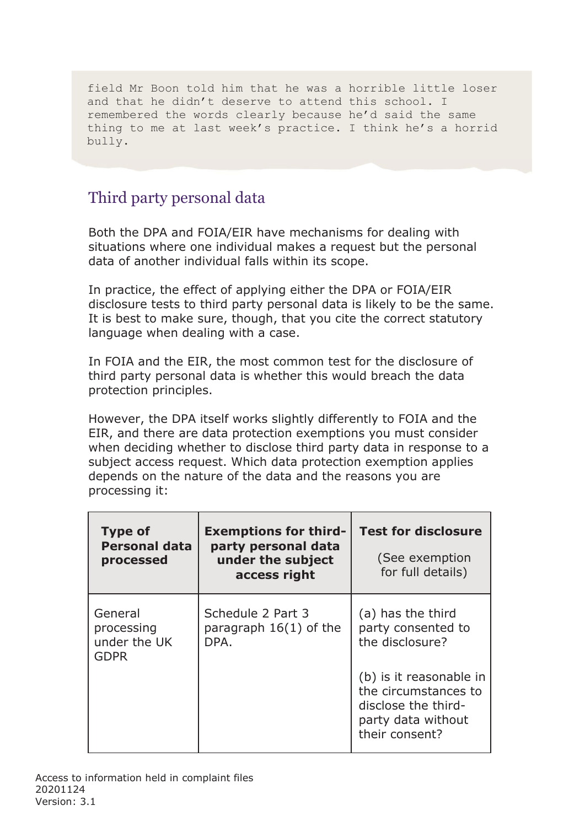field Mr Boon told him that he was a horrible little loser and that he didn't deserve to attend this school. I remembered the words clearly because he'd said the same thing to me at last week's practice. I think he's a horrid bully.

# Third party personal data

Both the DPA and FOIA/EIR have mechanisms for dealing with situations where one individual makes a request but the personal data of another individual falls within its scope.

In practice, the effect of applying either the DPA or FOIA/EIR disclosure tests to third party personal data is likely to be the same. It is best to make sure, though, that you cite the correct statutory language when dealing with a case.

In FOIA and the EIR, the most common test for the disclosure of third party personal data is whether this would breach the data protection principles.

However, the DPA itself works slightly differently to FOIA and the EIR, and there are data protection exemptions you must consider when deciding whether to disclose third party data in response to a subject access request. Which data protection exemption applies depends on the nature of the data and the reasons you are processing it:

| <b>Type of</b><br><b>Personal data</b><br>processed  | <b>Exemptions for third-</b><br>party personal data<br>under the subject<br>access right | <b>Test for disclosure</b><br>(See exemption<br>for full details)                                              |
|------------------------------------------------------|------------------------------------------------------------------------------------------|----------------------------------------------------------------------------------------------------------------|
| General<br>processing<br>under the UK<br><b>GDPR</b> | Schedule 2 Part 3<br>paragraph $16(1)$ of the<br>DPA.                                    | (a) has the third<br>party consented to<br>the disclosure?                                                     |
|                                                      |                                                                                          | (b) is it reasonable in<br>the circumstances to<br>disclose the third-<br>party data without<br>their consent? |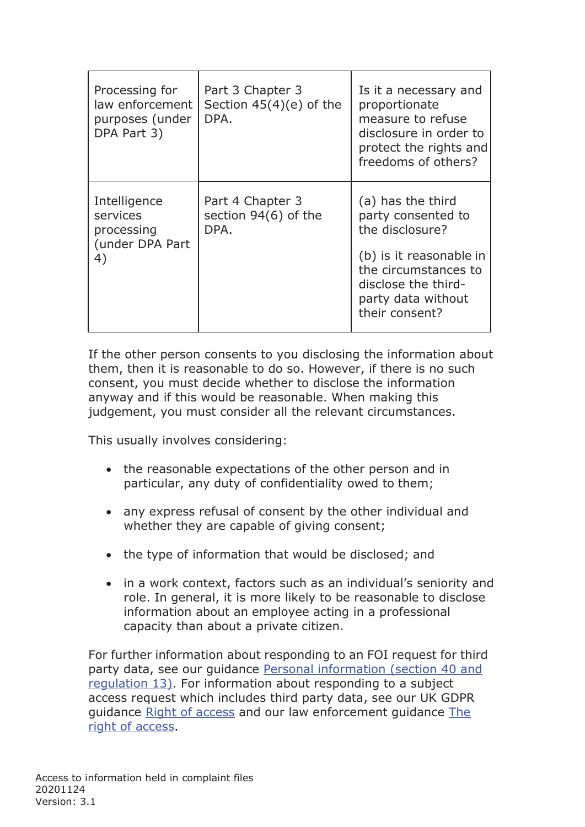| Processing for<br>law enforcement<br>purposes (under<br>DPA Part 3) | Part 3 Chapter 3<br>Section $45(4)(e)$ of the<br>DPA. | Is it a necessary and<br>proportionate<br>measure to refuse<br>disclosure in order to<br>protect the rights and<br>freedoms of others?                                       |
|---------------------------------------------------------------------|-------------------------------------------------------|------------------------------------------------------------------------------------------------------------------------------------------------------------------------------|
| Intelligence<br>services<br>processing<br>(under DPA Part<br>4)     | Part 4 Chapter 3<br>section 94(6) of the<br>DPA.      | (a) has the third<br>party consented to<br>the disclosure?<br>(b) is it reasonable in<br>the circumstances to<br>disclose the third-<br>party data without<br>their consent? |

If the other person consents to you disclosing the information about them, then it is reasonable to do so. However, if there is no such consent, you must decide whether to disclose the information anyway and if this would be reasonable. When making this judgement, you must consider all the relevant circumstances.

This usually involves considering:

- the reasonable expectations of the other person and in particular, any duty of confidentiality owed to them;
- any express refusal of consent by the other individual and whether they are capable of giving consent;
- the type of information that would be disclosed; and
- in a work context, factors such as an individual's seniority and role. In general, it is more likely to be reasonable to disclose information about an employee acting in a professional capacity than about a private citizen.

For further information about responding to an FOI request for third [party data, see our guidance Personal information \(section 40 and](https://ico.org.uk/media/for-organisations/documents/1213/personal-information-section-40-regulation-13.pdf) [regulation 13\). For information about responding to a subject](https://ico.org.uk/media/for-organisations/documents/1213/personal-information-section-40-regulation-13.pdf) access request which includes third party data, see our UK GDPR guidance Right of access [and our law enforcement guidance The](https://ico.org.uk/for-organisations/guide-to-data-protection/guide-to-law-enforcement-processing/individual-rights/the-right-of-access/) [right of](https://ico.org.uk/for-organisations/guide-to-data-protection/guide-to-law-enforcement-processing/individual-rights/the-right-of-access/) access.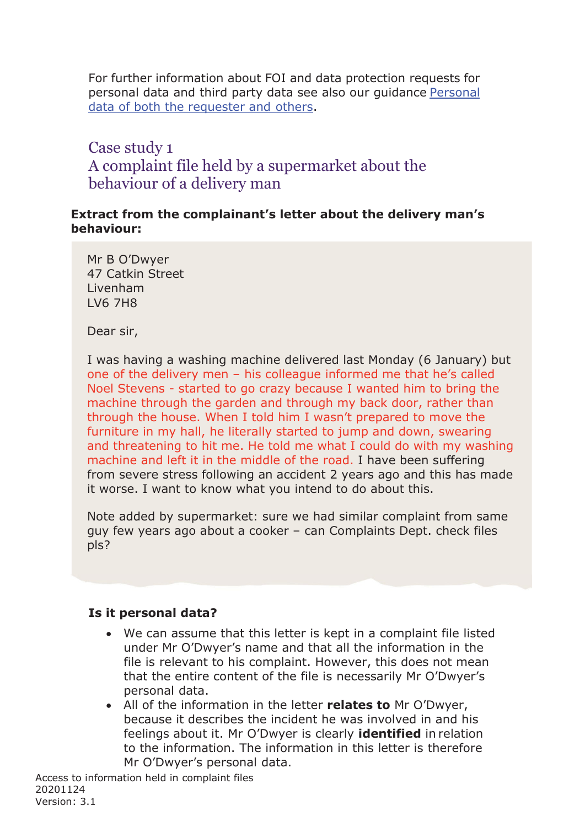For further information about FOI and data protection requests for [personal data and third party data see also our guidance](https://ico.org.uk/media/1209/personal-data-of-both-the-requester-and-others-foi-eir.pdf) Personal [data of both the requester and](https://ico.org.uk/media/1209/personal-data-of-both-the-requester-and-others-foi-eir.pdf) others.

# Case study 1 A complaint file held by a supermarket about the behaviour of a delivery man

#### **Extract from the complainant's letter about the delivery man's behaviour:**

Mr B O'Dwyer 47 Catkin Street Livenham LV6 7H8

Dear sir,

I was having a washing machine delivered last Monday (6 January) but one of the delivery men – his colleague informed me that he's called Noel Stevens - started to go crazy because I wanted him to bring the machine through the garden and through my back door, rather than through the house. When I told him I wasn't prepared to move the furniture in my hall, he literally started to jump and down, swearing and threatening to hit me. He told me what I could do with my washing machine and left it in the middle of the road. I have been suffering from severe stress following an accident 2 years ago and this has made it worse. I want to know what you intend to do about this.

Note added by supermarket: sure we had similar complaint from same guy few years ago about a cooker – can Complaints Dept. check files pls?

#### **Is it personal data?**

- We can assume that this letter is kept in a complaint file listed under Mr O'Dwyer's name and that all the information in the file is relevant to his complaint. However, this does not mean that the entire content of the file is necessarily Mr O'Dwyer's personal data.
- All of the information in the letter **relates to** Mr O'Dwyer, because it describes the incident he was involved in and his feelings about it. Mr O'Dwyer is clearly **identified** in relation to the information. The information in this letter is therefore Mr O'Dwyer's personal data.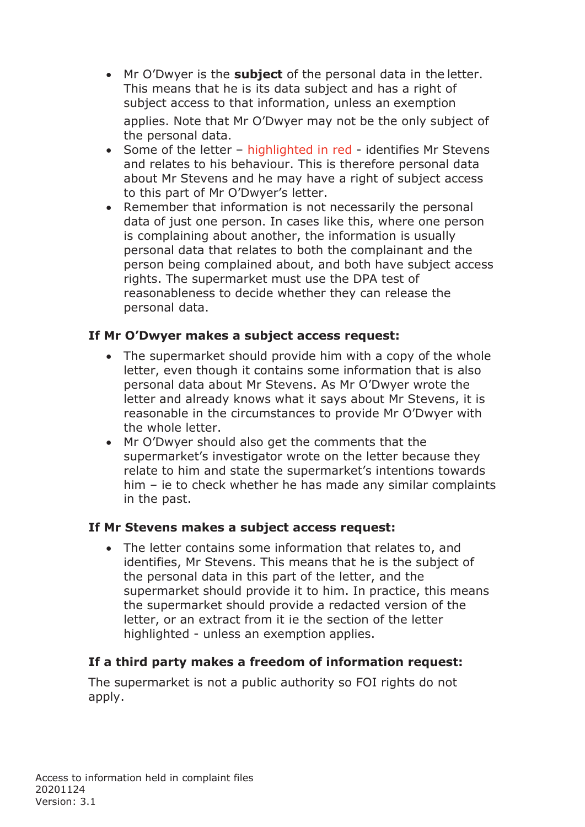- Mr O'Dwyer is the **subject** of the personal data in the letter. This means that he is its data subject and has a right of subject access to that information, unless an exemption applies. Note that Mr O'Dwyer may not be the only subject of the personal data.
- Some of the letter highlighted in red identifies Mr Stevens and relates to his behaviour. This is therefore personal data about Mr Stevens and he may have a right of subject access to this part of Mr O'Dwyer's letter.
- Remember that information is not necessarily the personal data of just one person. In cases like this, where one person is complaining about another, the information is usually personal data that relates to both the complainant and the person being complained about, and both have subject access rights. The supermarket must use the DPA test of reasonableness to decide whether they can release the personal data.

#### **If Mr O'Dwyer makes a subject access request:**

- The supermarket should provide him with a copy of the whole letter, even though it contains some information that is also personal data about Mr Stevens. As Mr O'Dwyer wrote the letter and already knows what it says about Mr Stevens, it is reasonable in the circumstances to provide Mr O'Dwyer with the whole letter.
- Mr O'Dwyer should also get the comments that the supermarket's investigator wrote on the letter because they relate to him and state the supermarket's intentions towards him – ie to check whether he has made any similar complaints in the past.

#### **If Mr Stevens makes a subject access request:**

• The letter contains some information that relates to, and identifies, Mr Stevens. This means that he is the subject of the personal data in this part of the letter, and the supermarket should provide it to him. In practice, this means the supermarket should provide a redacted version of the letter, or an extract from it ie the section of the letter highlighted - unless an exemption applies.

#### **If a third party makes a freedom of information request:**

The supermarket is not a public authority so FOI rights do not apply.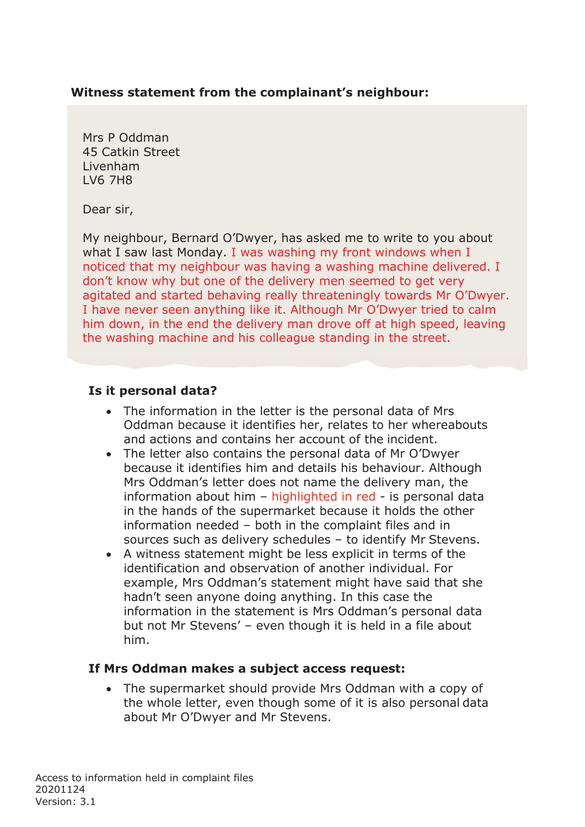#### **Witness statement from the complainant's neighbour:**

Mrs P Oddman 45 Catkin Street Livenham LV6 7H8

Dear sir,

My neighbour, Bernard O'Dwyer, has asked me to write to you about what I saw last Monday. I was washing my front windows when I noticed that my neighbour was having a washing machine delivered. I don't know why but one of the delivery men seemed to get very agitated and started behaving really threateningly towards Mr O'Dwyer. I have never seen anything like it. Although Mr O'Dwyer tried to calm him down, in the end the delivery man drove off at high speed, leaving the washing machine and his colleague standing in the street.

#### **Is it personal data?**

- The information in the letter is the personal data of Mrs Oddman because it identifies her, relates to her whereabouts and actions and contains her account of the incident.
- The letter also contains the personal data of Mr O'Dwyer because it identifies him and details his behaviour. Although Mrs Oddman's letter does not name the delivery man, the information about him  $-$  highlighted in red  $-$  is personal data in the hands of the supermarket because it holds the other information needed – both in the complaint files and in sources such as delivery schedules – to identify Mr Stevens.
- A witness statement might be less explicit in terms of the identification and observation of another individual. For example, Mrs Oddman's statement might have said that she hadn't seen anyone doing anything. In this case the information in the statement is Mrs Oddman's personal data but not Mr Stevens' – even though it is held in a file about him.

#### **If Mrs Oddman makes a subject access request:**

• The supermarket should provide Mrs Oddman with a copy of the whole letter, even though some of it is also personal data about Mr O'Dwyer and Mr Stevens.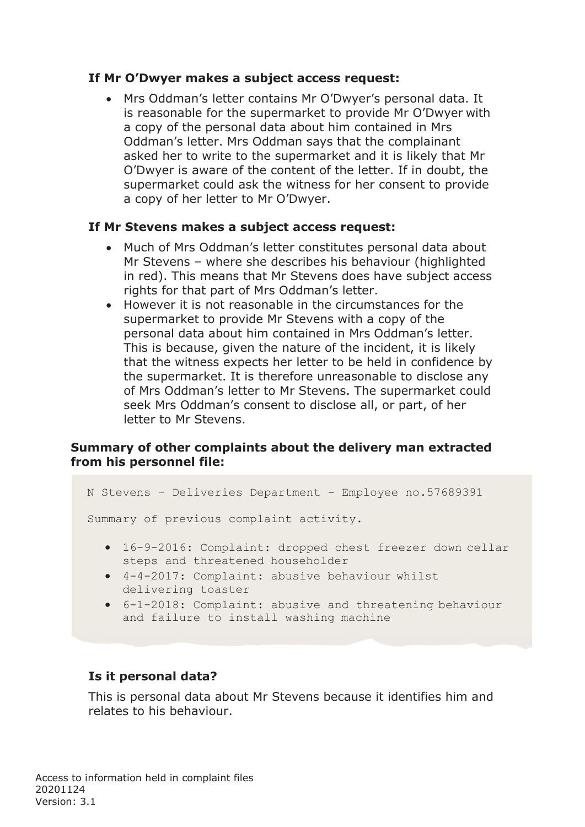#### **If Mr O'Dwyer makes a subject access request:**

• Mrs Oddman's letter contains Mr O'Dwyer's personal data. It is reasonable for the supermarket to provide Mr O'Dwyer with a copy of the personal data about him contained in Mrs Oddman's letter. Mrs Oddman says that the complainant asked her to write to the supermarket and it is likely that Mr O'Dwyer is aware of the content of the letter. If in doubt, the supermarket could ask the witness for her consent to provide a copy of her letter to Mr O'Dwyer.

#### **If Mr Stevens makes a subject access request:**

- Much of Mrs Oddman's letter constitutes personal data about Mr Stevens – where she describes his behaviour (highlighted in red). This means that Mr Stevens does have subject access rights for that part of Mrs Oddman's letter.
- However it is not reasonable in the circumstances for the supermarket to provide Mr Stevens with a copy of the personal data about him contained in Mrs Oddman's letter. This is because, given the nature of the incident, it is likely that the witness expects her letter to be held in confidence by the supermarket. It is therefore unreasonable to disclose any of Mrs Oddman's letter to Mr Stevens. The supermarket could seek Mrs Oddman's consent to disclose all, or part, of her letter to Mr Stevens.

#### **Summary of other complaints about the delivery man extracted from his personnel file:**

N Stevens – Deliveries Department - Employee no.57689391

Summary of previous complaint activity.

- 16-9-2016: Complaint: dropped chest freezer down cellar steps and threatened householder
- 4-4-2017: Complaint: abusive behaviour whilst delivering toaster
- 6-1-2018: Complaint: abusive and threatening behaviour and failure to install washing machine

#### **Is it personal data?**

This is personal data about Mr Stevens because it identifies him and relates to his behaviour.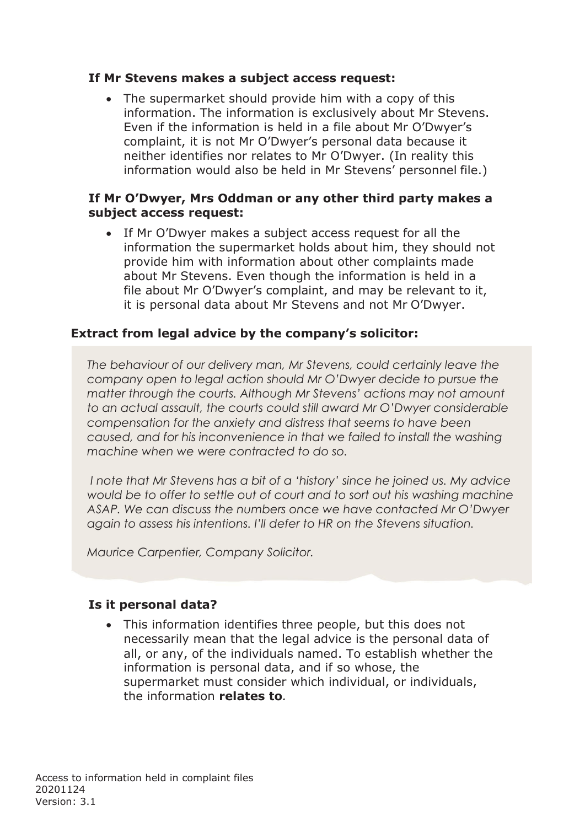#### **If Mr Stevens makes a subject access request:**

• The supermarket should provide him with a copy of this information. The information is exclusively about Mr Stevens. Even if the information is held in a file about Mr O'Dwyer's complaint, it is not Mr O'Dwyer's personal data because it neither identifies nor relates to Mr O'Dwyer. (In reality this information would also be held in Mr Stevens' personnel file.)

#### **If Mr O'Dwyer, Mrs Oddman or any other third party makes a subject access request:**

If Mr O'Dwyer makes a subject access request for all the information the supermarket holds about him, they should not provide him with information about other complaints made about Mr Stevens. Even though the information is held in a file about Mr O'Dwyer's complaint, and may be relevant to it, it is personal data about Mr Stevens and not Mr O'Dwyer.

#### **Extract from legal advice by the company's solicitor:**

*The behaviour of our delivery man, Mr Stevens, could certainly leave the company open to legal action should Mr O'Dwyer decide to pursue the matter through the courts. Although Mr Stevens' actions may not amount to an actual assault, the courts could still award Mr O'Dwyer considerable compensation for the anxiety and distress that seems to have been caused, and for his inconvenience in that we failed to install the washing machine when we were contracted to do so.*

*I note that Mr Stevens has a bit of a 'history' since he joined us. My advice would be to offer to settle out of court and to sort out his washing machine ASAP. We can discuss the numbers once we have contacted Mr O'Dwyer again to assess his intentions. I'll defer to HR on the Stevens situation.*

*Maurice Carpentier, Company Solicitor.*

#### **Is it personal data?**

• This information identifies three people, but this does not necessarily mean that the legal advice is the personal data of all, or any, of the individuals named. To establish whether the information is personal data, and if so whose, the supermarket must consider which individual, or individuals, the information **relates to***.*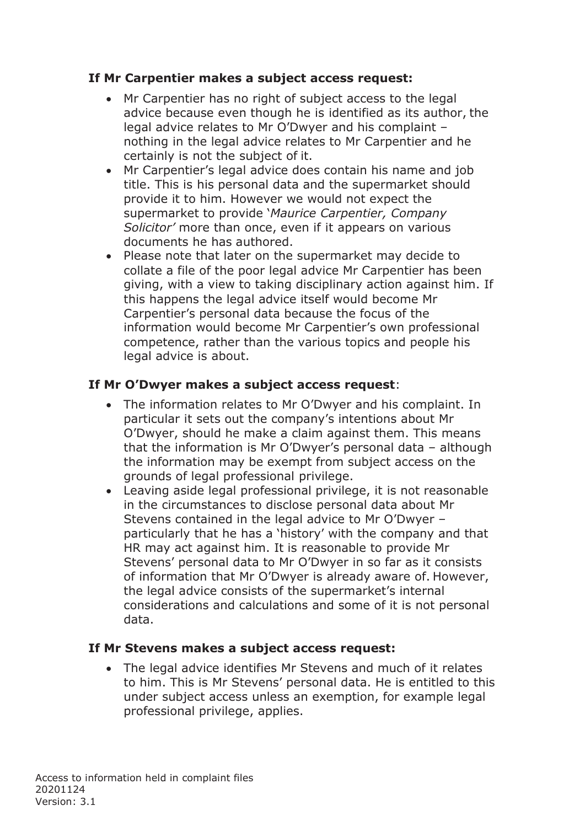#### **If Mr Carpentier makes a subject access request:**

- Mr Carpentier has no right of subject access to the legal advice because even though he is identified as its author, the legal advice relates to Mr O'Dwyer and his complaint – nothing in the legal advice relates to Mr Carpentier and he certainly is not the subject of it.
- Mr Carpentier's legal advice does contain his name and job title. This is his personal data and the supermarket should provide it to him. However we would not expect the supermarket to provide '*Maurice Carpentier, Company Solicitor'* more than once, even if it appears on various documents he has authored.
- Please note that later on the supermarket may decide to collate a file of the poor legal advice Mr Carpentier has been giving, with a view to taking disciplinary action against him. If this happens the legal advice itself would become Mr Carpentier's personal data because the focus of the information would become Mr Carpentier's own professional competence, rather than the various topics and people his legal advice is about.

#### **If Mr O'Dwyer makes a subject access request**:

- The information relates to Mr O'Dwyer and his complaint. In particular it sets out the company's intentions about Mr O'Dwyer, should he make a claim against them. This means that the information is Mr O'Dwyer's personal data – although the information may be exempt from subject access on the grounds of legal professional privilege.
- Leaving aside legal professional privilege, it is not reasonable in the circumstances to disclose personal data about Mr Stevens contained in the legal advice to Mr O'Dwyer – particularly that he has a 'history' with the company and that HR may act against him. It is reasonable to provide Mr Stevens' personal data to Mr O'Dwyer in so far as it consists of information that Mr O'Dwyer is already aware of. However, the legal advice consists of the supermarket's internal considerations and calculations and some of it is not personal data.

#### **If Mr Stevens makes a subject access request:**

• The legal advice identifies Mr Stevens and much of it relates to him. This is Mr Stevens' personal data. He is entitled to this under subject access unless an exemption, for example legal professional privilege, applies.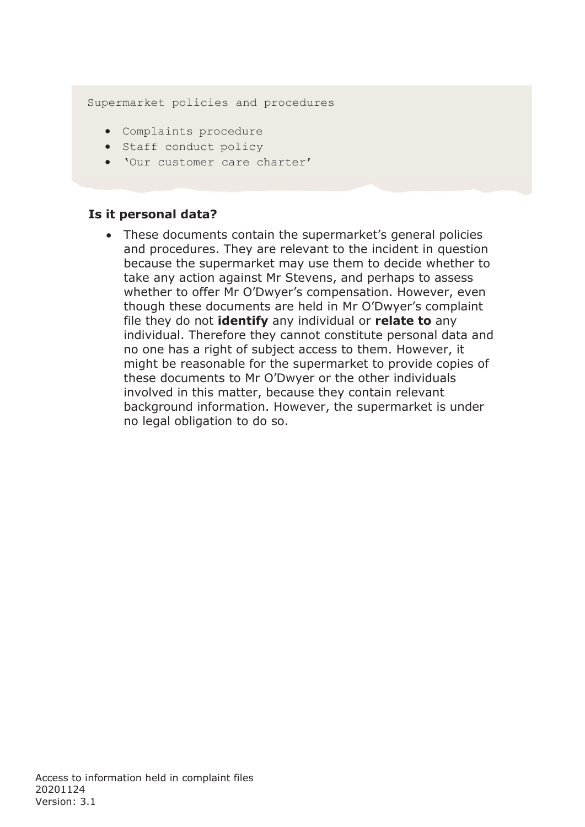Supermarket policies and procedures

- Complaints procedure
- Staff conduct policy
- 'Our customer care charter'

#### **Is it personal data?**

These documents contain the supermarket's general policies and procedures. They are relevant to the incident in question because the supermarket may use them to decide whether to take any action against Mr Stevens, and perhaps to assess whether to offer Mr O'Dwyer's compensation. However, even though these documents are held in Mr O'Dwyer's complaint file they do not **identify** any individual or **relate to** any individual. Therefore they cannot constitute personal data and no one has a right of subject access to them. However, it might be reasonable for the supermarket to provide copies of these documents to Mr O'Dwyer or the other individuals involved in this matter, because they contain relevant background information. However, the supermarket is under no legal obligation to do so.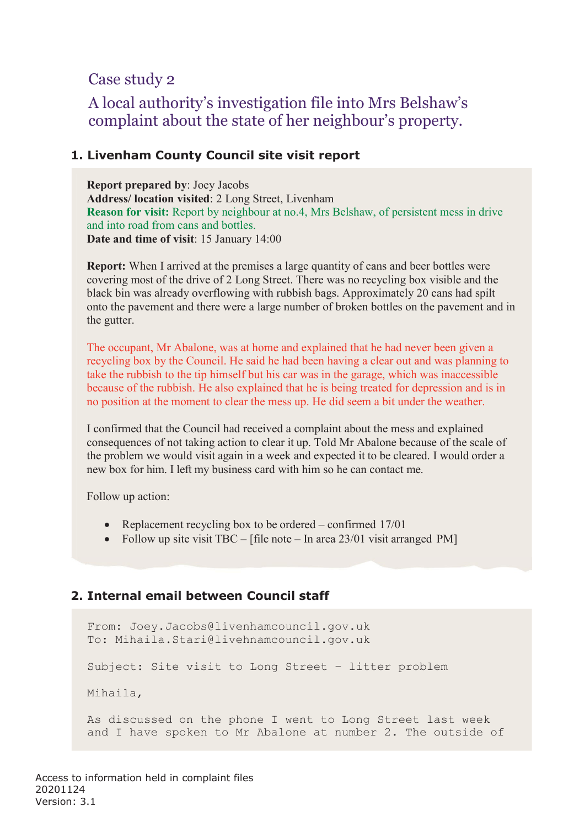### Case study 2

# A local authority's investigation file into Mrs Belshaw's complaint about the state of her neighbour's property.

#### **1. Livenham County Council site visit report**

**Report prepared by**: Joey Jacobs **Address/ location visited**: 2 Long Street, Livenham **Reason for visit:** Report by neighbour at no.4, Mrs Belshaw, of persistent mess in drive and into road from cans and bottles. **Date and time of visit**: 15 January 14:00

**Report:** When I arrived at the premises a large quantity of cans and beer bottles were covering most of the drive of 2 Long Street. There was no recycling box visible and the black bin was already overflowing with rubbish bags. Approximately 20 cans had spilt onto the pavement and there were a large number of broken bottles on the pavement and in the gutter.

The occupant, Mr Abalone, was at home and explained that he had never been given a recycling box by the Council. He said he had been having a clear out and was planning to take the rubbish to the tip himself but his car was in the garage, which was inaccessible because of the rubbish. He also explained that he is being treated for depression and is in no position at the moment to clear the mess up. He did seem a bit under the weather.

I confirmed that the Council had received a complaint about the mess and explained consequences of not taking action to clear it up. Told Mr Abalone because of the scale of the problem we would visit again in a week and expected it to be cleared. I would order a new box for him. I left my business card with him so he can contact me.

Follow up action:

- Replacement recycling box to be ordered confirmed 17/01
- Follow up site visit TBC [file note In area 23/01 visit arranged PM]

#### **2. Internal email between Council staff**

```
From: Joey.Jacobs@livenhamcouncil.gov.uk 
To: Mihaila.Stari@livehnamcouncil.gov.uk
Subject: Site visit to Long Street – litter problem 
Mihaila,
As discussed on the phone I went to Long Street last week
```
and I have spoken to Mr Abalone at number 2. The outside of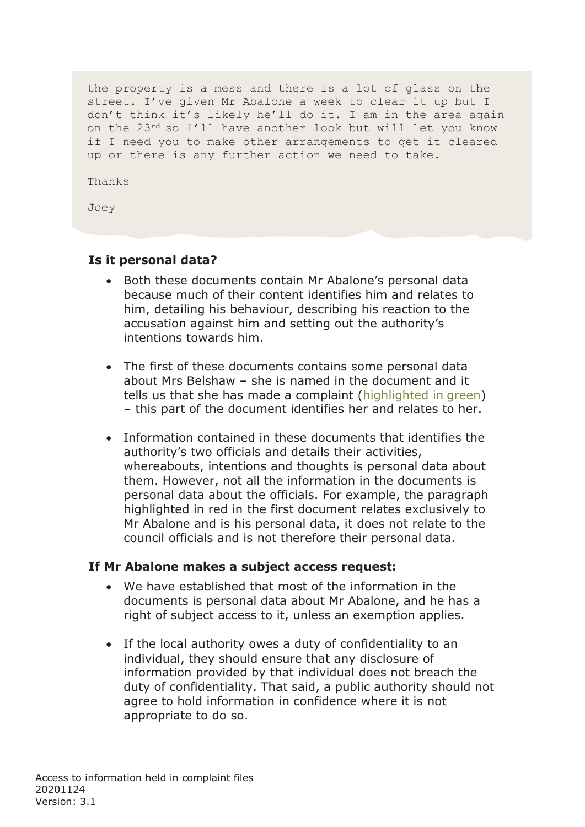the property is a mess and there is a lot of glass on the street. I've given Mr Abalone a week to clear it up but I don't think it's likely he'll do it. I am in the area again on the 23rd so I'll have another look but will let you know if I need you to make other arrangements to get it cleared up or there is any further action we need to take.

Thanks

Joey

#### **Is it personal data?**

- Both these documents contain Mr Abalone's personal data because much of their content identifies him and relates to him, detailing his behaviour, describing his reaction to the accusation against him and setting out the authority's intentions towards him.
- The first of these documents contains some personal data about Mrs Belshaw – she is named in the document and it tells us that she has made a complaint (highlighted in green) – this part of the document identifies her and relates to her.
- Information contained in these documents that identifies the authority's two officials and details their activities, whereabouts, intentions and thoughts is personal data about them. However, not all the information in the documents is personal data about the officials. For example, the paragraph highlighted in red in the first document relates exclusively to Mr Abalone and is his personal data, it does not relate to the council officials and is not therefore their personal data.

#### **If Mr Abalone makes a subject access request:**

- We have established that most of the information in the documents is personal data about Mr Abalone, and he has a right of subject access to it, unless an exemption applies.
- If the local authority owes a duty of confidentiality to an individual, they should ensure that any disclosure of information provided by that individual does not breach the duty of confidentiality. That said, a public authority should not agree to hold information in confidence where it is not appropriate to do so.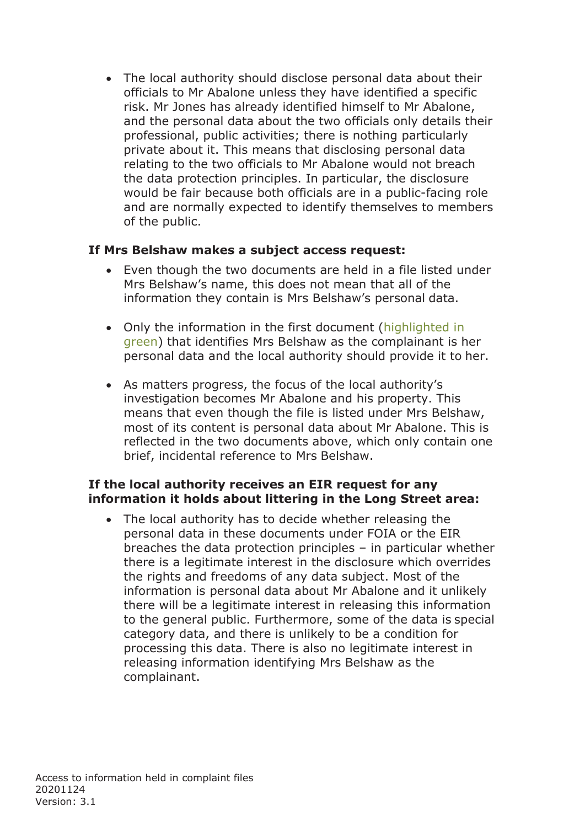• The local authority should disclose personal data about their officials to Mr Abalone unless they have identified a specific risk. Mr Jones has already identified himself to Mr Abalone, and the personal data about the two officials only details their professional, public activities; there is nothing particularly private about it. This means that disclosing personal data relating to the two officials to Mr Abalone would not breach the data protection principles. In particular, the disclosure would be fair because both officials are in a public-facing role and are normally expected to identify themselves to members of the public.

#### **If Mrs Belshaw makes a subject access request:**

- Even though the two documents are held in a file listed under Mrs Belshaw's name, this does not mean that all of the information they contain is Mrs Belshaw's personal data.
- Only the information in the first document (highlighted in green) that identifies Mrs Belshaw as the complainant is her personal data and the local authority should provide it to her.
- As matters progress, the focus of the local authority's investigation becomes Mr Abalone and his property. This means that even though the file is listed under Mrs Belshaw, most of its content is personal data about Mr Abalone. This is reflected in the two documents above, which only contain one brief, incidental reference to Mrs Belshaw.

#### **If the local authority receives an EIR request for any information it holds about littering in the Long Street area:**

The local authority has to decide whether releasing the personal data in these documents under FOIA or the EIR breaches the data protection principles – in particular whether there is a legitimate interest in the disclosure which overrides the rights and freedoms of any data subject. Most of the information is personal data about Mr Abalone and it unlikely there will be a legitimate interest in releasing this information to the general public. Furthermore, some of the data is special category data, and there is unlikely to be a condition for processing this data. There is also no legitimate interest in releasing information identifying Mrs Belshaw as the complainant.